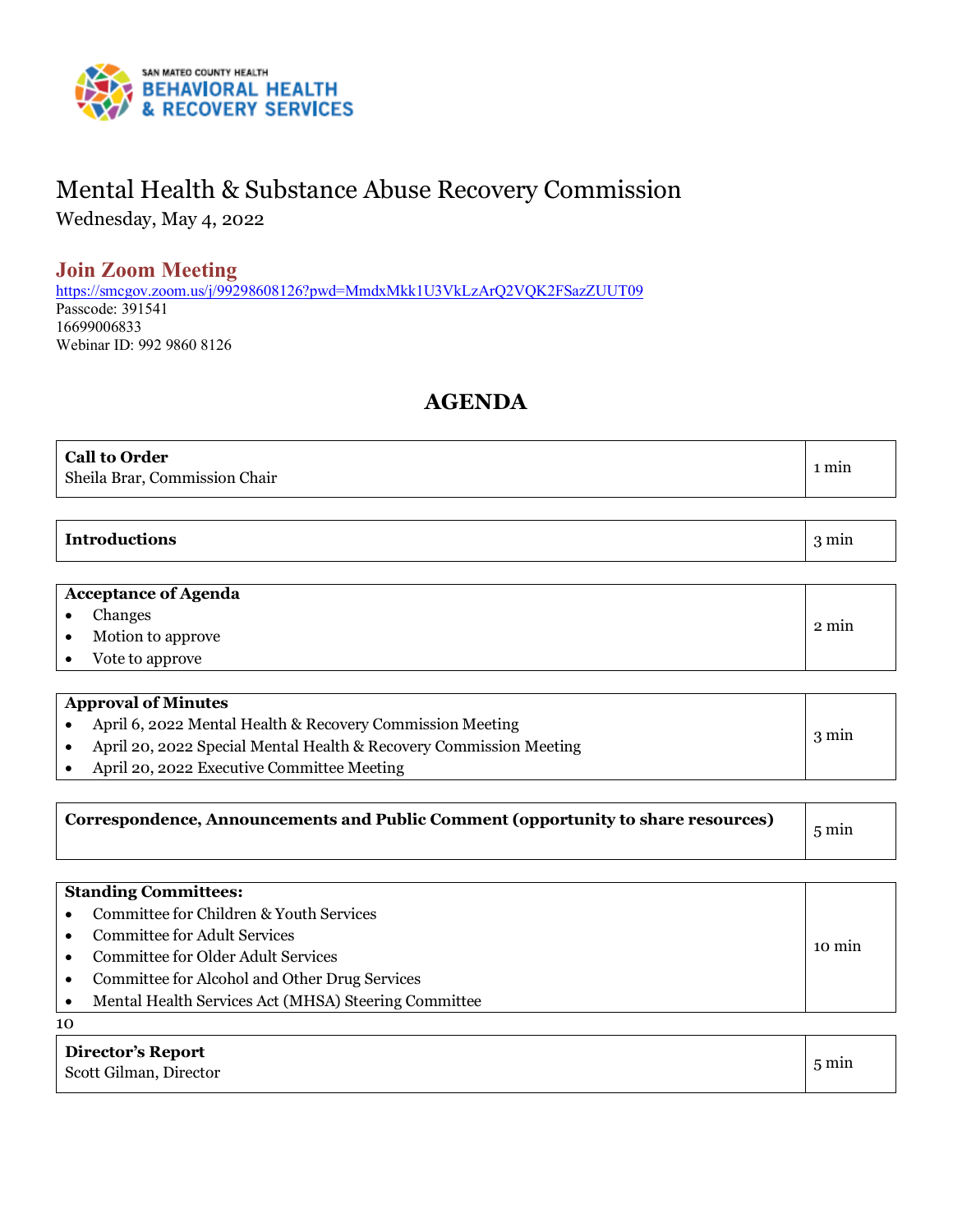

# Mental Health & Substance Abuse Recovery Commission

Wednesday, May 4, 2022

## **Join Zoom Meeting**

<https://smcgov.zoom.us/j/99298608126?pwd=MmdxMkk1U3VkLzArQ2VQK2FSazZUUT09> Passcode: 391541 16699006833 Webinar ID: 992 9860 8126

## **AGENDA**

| <b>Call to Order</b><br>Sheila Brar, Commission Chair | . min |
|-------------------------------------------------------|-------|
|-------------------------------------------------------|-------|

#### **Introductions** 3 min

#### **Acceptance of Agenda**

| Changes           |       |
|-------------------|-------|
| Motion to approve | 2 min |
| Vote to approve   |       |

| <b>Approval of Minutes</b>                                         |                 |
|--------------------------------------------------------------------|-----------------|
| April 6, 2022 Mental Health & Recovery Commission Meeting          |                 |
| April 20, 2022 Special Mental Health & Recovery Commission Meeting | $3 \text{ min}$ |
| April 20, 2022 Executive Committee Meeting                         |                 |

|--|

|           | <b>Standing Committees:</b>                          |        |
|-----------|------------------------------------------------------|--------|
|           | Committee for Children & Youth Services              |        |
|           | Committee for Adult Services                         |        |
|           | <b>Committee for Older Adult Services</b>            | 10 min |
| $\bullet$ | Committee for Alcohol and Other Drug Services        |        |
|           | Mental Health Services Act (MHSA) Steering Committee |        |
| 10        |                                                      |        |

**Director's Report** Scott Gilman, Director 5 min 5 min 5 min 5 min 5 min 5 min 5 min 5 min 5 min 5 min 5 min 5 min 5 min 5 min 5 min 5 min 5 min 5 min 5 min 5 min 5 min 6 min 6 min 6 min 6 min 6 min 6 min 6 min 6 min 6 min 6 min 6 min 6 min 6